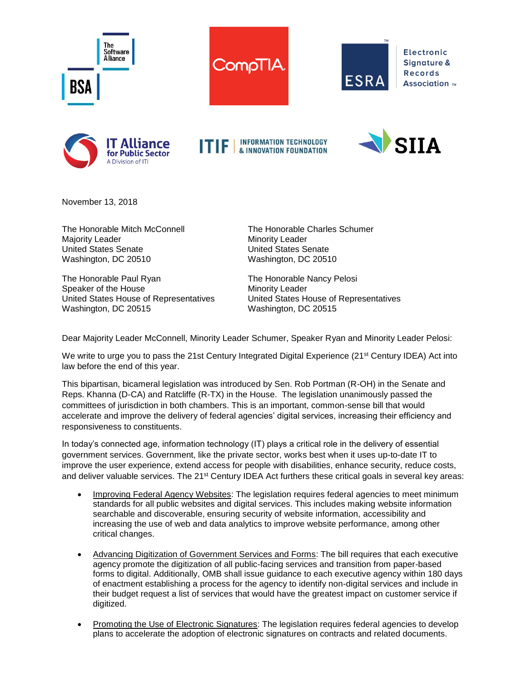





**Electronic** Signature & **Records** Association TM







November 13, 2018

Majority Leader **Minority Leader** Minority Leader United States Senate United States Senate Washington, DC 20510 Washington, DC 20510

The Honorable Paul Ryan The Honorable Nancy Pelosi Speaker of the House Minority Leader United States House of Representatives United States House of Representatives Washington, DC 20515 Washington, DC 20515

The Honorable Mitch McConnell The Honorable Charles Schumer

Dear Majority Leader McConnell, Minority Leader Schumer, Speaker Ryan and Minority Leader Pelosi:

We write to urge you to pass the 21st Century Integrated Digital Experience (21<sup>st</sup> Century IDEA) Act into law before the end of this year.

This bipartisan, bicameral legislation was introduced by Sen. Rob Portman (R-OH) in the Senate and Reps. Khanna (D-CA) and Ratcliffe (R-TX) in the House. The legislation unanimously passed the committees of jurisdiction in both chambers. This is an important, common-sense bill that would accelerate and improve the delivery of federal agencies' digital services, increasing their efficiency and responsiveness to constituents.

In today's connected age, information technology (IT) plays a critical role in the delivery of essential government services. Government, like the private sector, works best when it uses up-to-date IT to improve the user experience, extend access for people with disabilities, enhance security, reduce costs, and deliver valuable services. The 21<sup>st</sup> Century IDEA Act furthers these critical goals in several key areas:

- Improving Federal Agency Websites: The legislation requires federal agencies to meet minimum standards for all public websites and digital services. This includes making website information searchable and discoverable, ensuring security of website information, accessibility and increasing the use of web and data analytics to improve website performance, among other critical changes.
- Advancing Digitization of Government Services and Forms: The bill requires that each executive agency promote the digitization of all public-facing services and transition from paper-based forms to digital. Additionally, OMB shall issue guidance to each executive agency within 180 days of enactment establishing a process for the agency to identify non-digital services and include in their budget request a list of services that would have the greatest impact on customer service if digitized.
- Promoting the Use of Electronic Signatures: The legislation requires federal agencies to develop plans to accelerate the adoption of electronic signatures on contracts and related documents.